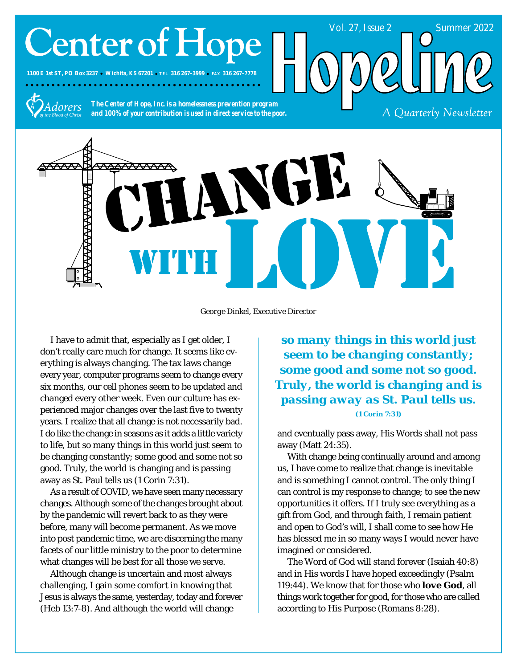# **Center of Hope**

**1100 E 1st ST, PO Box 3237 Wichita, KS 67201 TEL 316 267-3999 FAX 316 267-7778**



*The Center of Hope, Inc. is a homelessness prevention program and 100% of your contribution is used in direct service to the poor.*



*George Dinkel, Executive Director*

I have to admit that, especially as I get older, I don't really care much for change. It seems like everything is always changing. The tax laws change every year, computer programs seem to change every six months, our cell phones seem to be updated and changed every other week. Even our culture has experienced major changes over the last five to twenty years. I realize that all change is not necessarily bad. I do like the change in seasons as it adds a little variety to life, but so many things in this world just seem to be changing constantly; some good and some not so good. Truly, the world is changing and is passing away as St. Paul tells us (1 Corin 7:31).

As a result of COVID, we have seen many necessary changes. Although some of the changes brought about by the pandemic will revert back to as they were before, many will become permanent. As we move into post pandemic time, we are discerning the many facets of our little ministry to the poor to determine what changes will be best for all those we serve.

Although change is uncertain and most always challenging, I gain some comfort in knowing that Jesus is always the same, yesterday, today and forever (Heb 13:7-8). And although the world will change

*so many things in this world just seem to be changing constantly; some good and some not so good. Truly, the world is changing and is passing away as St. Paul tells us. (1 Corin 7:31)*

Vol. 27, Issue 2 Summer 2022

A Quarterly Newsletter

and eventually pass away, His Words shall not pass away (Matt 24:35).

With change being continually around and among us, I have come to realize that change is inevitable and is something I cannot control. The only thing I can control is my response to change; to see the new opportunities it offers. If I truly see everything as a gift from God, and through faith, I remain patient and open to God's will, I shall come to see how He has blessed me in so many ways I would never have imagined or considered.

The Word of God will stand forever (Isaiah 40:8) and in His words I have hoped exceedingly (Psalm 119:44). We know that for those who *love God*, all things work together for good, for those who are called according to His Purpose (Romans 8:28).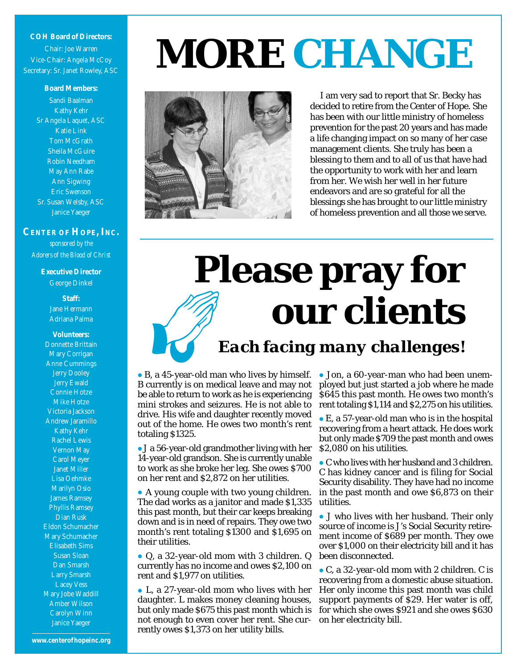### **COH Board of Directors:** Chair: Joe Warren Vice-Chair: Angela McCoy Secretary: Sr. Janet Rowley, ASC

### **Board Members:** Sandi Baalman Kathy Kehr Sr Angela Laquet, ASC Katie Link Tom McGrath Sheila McGuire Robin Needham May Ann Rabe Ann Sigwing Eric Swenson Sr. Susan Welsby, ASC Janice Yaeger

**CENTER OF HOPE, INC.** *sponsored by the Adorers of the Blood of Christ*

> **Executive Director** George Dinkel

> > **Staff:** Jane Hermann Adriana Palma

**Volunteers:** Donnette Brittain Mary Corrigan Anne Cummings Jerry Dooley Jerry Ewald Connie Hotze Mike Hotze Victoria Jackson Andrew Jaramillo Kathy Kehr Rachel Lewis Vernon May Carol Meyer Janet Miller Lisa Oehmke Marilyn Osio James Ramsey Phyllis Ramsey Dian Rusk Eldon Schumacher Mary Schumacher Elisabeth Sims Susan Sloan Dan Smarsh Larry Smarsh Lacey Vess Mary Jobe Waddill Amber Wilson Carolyn Winn Janice Yaeger

## *MORE CHANGE*



I am very sad to report that Sr. Becky has decided to retire from the Center of Hope. She has been with our little ministry of homeless prevention for the past 20 years and has made a life changing impact on so many of her case management clients. She truly has been a blessing to them and to all of us that have had the opportunity to work with her and learn from her. We wish her well in her future endeavors and are so grateful for all the blessings she has brought to our little ministry of homeless prevention and all those we serve.

# **Please pray for our clients**

*Each facing many challenges!*

 B, a 45-year-old man who lives by himself. B currently is on medical leave and may not be able to return to work as he is experiencing mini strokes and seizures. He is not able to drive. His wife and daughter recently moved out of the home. He owes two month's rent totaling \$1325.

 J a 56-year-old grandmother living with her 14-year-old grandson. She is currently unable to work as she broke her leg. She owes \$700 on her rent and \$2,872 on her utilities.

 A young couple with two young children. The dad works as a janitor and made \$1,335 this past month, but their car keeps breaking down and is in need of repairs. They owe two month's rent totaling \$1300 and \$1,695 on their utilities.

 Q, a 32-year-old mom with 3 children. Q currently has no income and owes \$2,100 on rent and \$1,977 on utilities.

 L, a 27-year-old mom who lives with her daughter. L makes money cleaning houses, but only made \$675 this past month which is not enough to even cover her rent. She currently owes \$1,373 on her utility bills.

 Jon, a 60-year-man who had been unemployed but just started a job where he made \$645 this past month. He owes two month's rent totaling \$1,114 and \$2,275 on his utilities.

 E, a 57-year-old man who is in the hospital recovering from a heart attack. He does work but only made \$709 the past month and owes \$2,080 on his utilities.

 C who lives with her husband and 3 children. C has kidney cancer and is filing for Social Security disability. They have had no income in the past month and owe \$6,873 on their utilities.

 J who lives with her husband. Their only source of income is J's Social Security retirement income of \$689 per month. They owe over \$1,000 on their electricity bill and it has been disconnected.

 C, a 32-year-old mom with 2 children. C is recovering from a domestic abuse situation. Her only income this past month was child support payments of \$29. Her water is off, for which she owes \$921 and she owes \$630 on her electricity bill.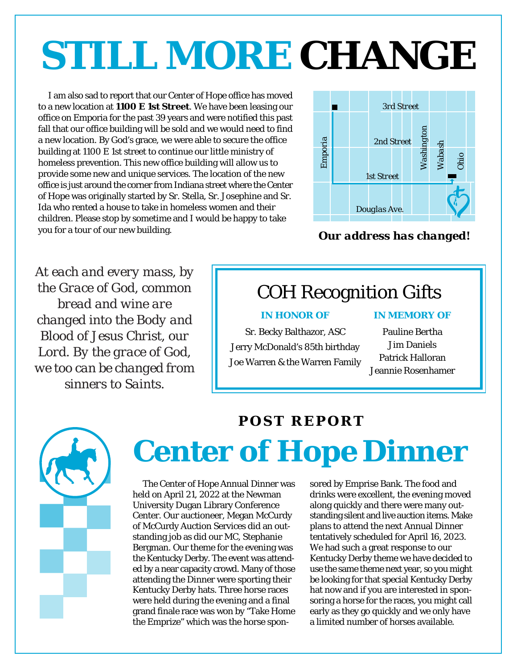## *STILL MORE CHANGE*

I am also sad to report that our Center of Hope office has moved to a new location at **1100 E 1st Street**. We have been leasing our office on Emporia for the past 39 years and were notified this past fall that our office building will be sold and we would need to find a new location. By God's grace, we were able to secure the office building at 1100 E 1st street to continue our little ministry of homeless prevention. This new office building will allow us to provide some new and unique services. The location of the new office is just around the corner from Indiana street where the Center of Hope was originally started by Sr. Stella, Sr. Josephine and Sr. Ida who rented a house to take in homeless women and their children. Please stop by sometime and I would be happy to take you for a tour of our new building.



*Our address has changed!*

*At each and every mass, by the Grace of God, common bread and wine are changed into the Body and Blood of Jesus Christ, our Lord. By the grace of God, we too can be changed from sinners to Saints.*

## COH Recognition Gifts

Sr. Becky Balthazor, ASC Jerry McDonald's 85th birthday Joe Warren & the Warren Family

### *IN HONOR OF IN MEMORY OF*

Pauline Bertha Jim Daniels Patrick Halloran Jeannie Rosenhamer



## **Center of Hope Dinner** *POST REPORT*

The Center of Hope Annual Dinner was held on April 21, 2022 at the Newman University Dugan Library Conference Center. Our auctioneer, Megan McCurdy of McCurdy Auction Services did an outstanding job as did our MC, Stephanie Bergman. Our theme for the evening was the Kentucky Derby. The event was attended by a near capacity crowd. Many of those attending the Dinner were sporting their Kentucky Derby hats. Three horse races were held during the evening and a final grand finale race was won by "Take Home the Emprize" which was the horse spon-

sored by Emprise Bank. The food and drinks were excellent, the evening moved along quickly and there were many outstanding silent and live auction items. Make plans to attend the next Annual Dinner tentatively scheduled for April 16, 2023. We had such a great response to our Kentucky Derby theme we have decided to use the same theme next year, so you might be looking for that special Kentucky Derby hat now and if you are interested in sponsoring a horse for the races, you might call early as they go quickly and we only have a limited number of horses available.